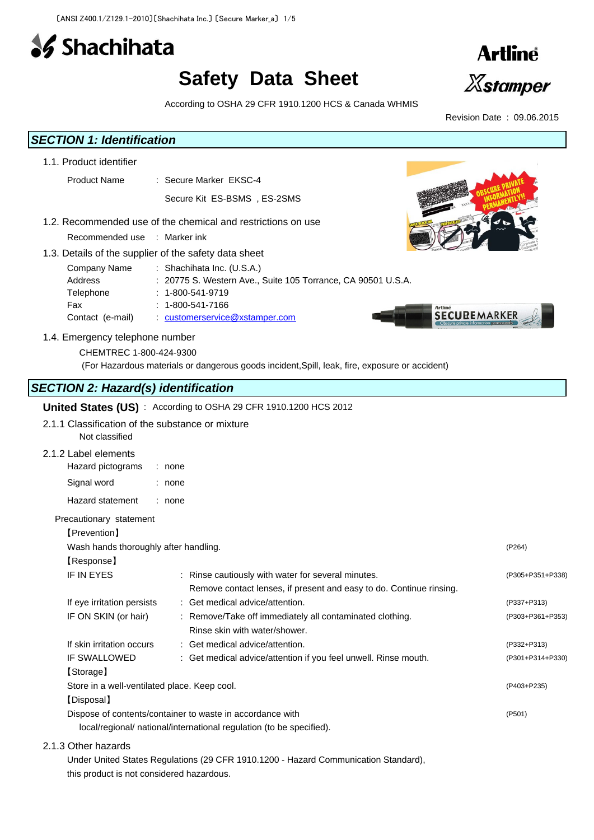

# **Safety Data Sheet**



Revision Date : 09.06.2015

According to OSHA 29 CFR 1910.1200 HCS & Canada WHMIS

## *SECTION 1: Identification*

- 1.1. Product identifier
	- Product Name : Secure Marker EKSC-4

Secure Kit ES-BSMS , ES-2SMS

- 1.2. Recommended use of the chemical and restrictions on use
	- Recommended use : Marker ink
- 1.3. Details of the supplier of the safety data sheet

| Company Name     | : Shachihata Inc. $(U.S.A.)$                                     |
|------------------|------------------------------------------------------------------|
| Address          | : 20775 S. Western Ave., Suite 105 Torrance, CA 90501 U.S.A.     |
| Telephone        | $: 1 - 800 - 541 - 9719$                                         |
| Fax              | $: 1 - 800 - 541 - 7166$                                         |
| Contact (e-mail) | <b>SECUREMARKER</b><br>$\therefore$ customerservice@xstamper.com |

#### 1.4. Emergency telephone number

CHEMTREC 1-800-424-9300

(For Hazardous materials or dangerous goods incident,Spill, leak, fire, exposure or accident)

# *SECTION 2: Hazard(s) identification*

## **United States (US)** : According to OSHA 29 CFR 1910.1200 HCS 2012

2.1.1 Classification of the substance or mixture

Not classified

## 2.1.2 Label elements

| Hazard pictograms       | : none |
|-------------------------|--------|
| Signal word             | : none |
| <b>Hazard statement</b> | : none |

#### Precautionary statement

| 【Prevention】                                 |                                                                      |                  |
|----------------------------------------------|----------------------------------------------------------------------|------------------|
| Wash hands thoroughly after handling.        |                                                                      | (P264)           |
| [Response]                                   |                                                                      |                  |
| <b>IF IN EYES</b>                            | : Rinse cautiously with water for several minutes.                   | (P305+P351+P338) |
|                                              | Remove contact lenses, if present and easy to do. Continue rinsing.  |                  |
| If eye irritation persists                   | : Get medical advice/attention.                                      | (P337+P313)      |
| IF ON SKIN (or hair)                         | : Remove/Take off immediately all contaminated clothing.             | (P303+P361+P353) |
|                                              | Rinse skin with water/shower.                                        |                  |
| If skin irritation occurs                    | : Get medical advice/attention.                                      | (P332+P313)      |
| <b>IF SWALLOWED</b>                          | : Get medical advice/attention if you feel unwell. Rinse mouth.      | (P301+P314+P330) |
| [Storage]                                    |                                                                      |                  |
| Store in a well-ventilated place. Keep cool. |                                                                      | (P403+P235)      |
| [Disposal]                                   |                                                                      |                  |
|                                              | Dispose of contents/container to waste in accordance with            | (P501)           |
|                                              | local/regional/ national/international regulation (to be specified). |                  |

#### 2.1.3 Other hazards

Under United States Regulations (29 CFR 1910.1200 - Hazard Communication Standard), this product is not considered hazardous.

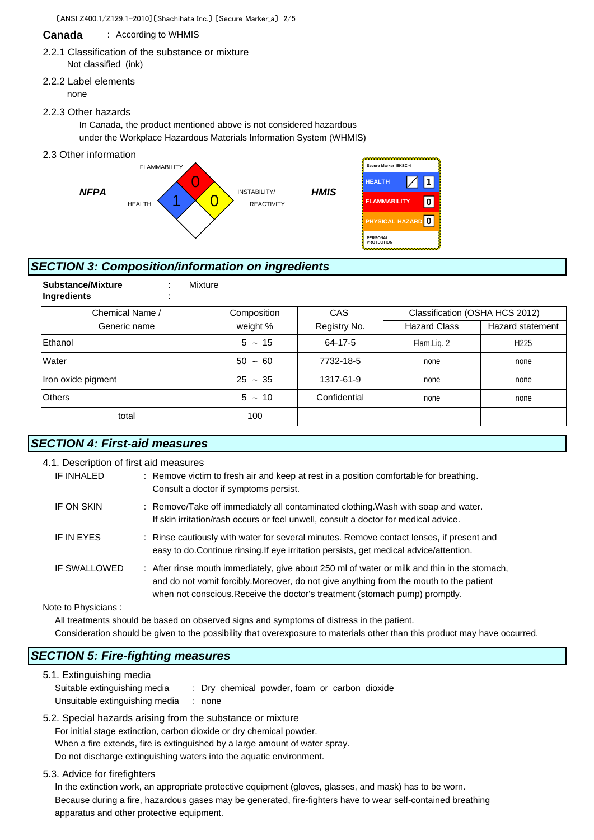#### **Canada** : According to WHMIS

#### 2.2.1 Classification of the substance or mixture Not classified (ink)

2.2.2 Label elements none

#### 2.2.3 Other hazards

In Canada, the product mentioned above is not considered hazardous under the Workplace Hazardous Materials Information System (WHMIS)

2.3 Other information



# *SECTION 3: Composition/information on ingredients*

| Mixture     |              |                     |                                |
|-------------|--------------|---------------------|--------------------------------|
| Composition | CAS          |                     |                                |
| weight %    | Registry No. | <b>Hazard Class</b> | Hazard statement               |
| $5 \sim 15$ | 64-17-5      | Flam.Liq. 2         | H <sub>225</sub>               |
| $50 - 60$   | 7732-18-5    | none                | none                           |
| $25 - 35$   | 1317-61-9    | none                | none                           |
| $5 - 10$    | Confidential | none                | none                           |
| 100         |              |                     |                                |
|             |              |                     | Classification (OSHA HCS 2012) |

# *SECTION 4: First-aid measures*

| 4.1. Description of first aid measures |                                                                                                                                                                                                                                                                        |
|----------------------------------------|------------------------------------------------------------------------------------------------------------------------------------------------------------------------------------------------------------------------------------------------------------------------|
| IF INHALED                             | : Remove victim to fresh air and keep at rest in a position comfortable for breathing.<br>Consult a doctor if symptoms persist.                                                                                                                                        |
| IF ON SKIN                             | : Remove/Take off immediately all contaminated clothing. Wash with soap and water.<br>If skin irritation/rash occurs or feel unwell, consult a doctor for medical advice.                                                                                              |
| <b>IF IN EYES</b>                      | : Rinse cautiously with water for several minutes. Remove contact lenses, if present and<br>easy to do. Continue rinsing. If eye irritation persists, get medical advice/attention.                                                                                    |
| <b>IF SWALLOWED</b>                    | : After rinse mouth immediately, give about 250 ml of water or milk and thin in the stomach,<br>and do not vomit forcibly. Moreover, do not give anything from the mouth to the patient<br>when not conscious. Receive the doctor's treatment (stomach pump) promptly. |
| Note to Physicians:                    |                                                                                                                                                                                                                                                                        |

Note to Physicians :

All treatments should be based on observed signs and symptoms of distress in the patient. Consideration should be given to the possibility that overexposure to materials other than this product may have occurred.

## *SECTION 5: Fire-fighting measures*

5.1. Extinguishing media Suitable extinguishing media : Dry chemical powder, foam or carbon dioxide Unsuitable extinguishing media : none

5.2. Special hazards arising from the substance or mixture

For initial stage extinction, carbon dioxide or dry chemical powder. When a fire extends, fire is extinguished by a large amount of water spray. Do not discharge extinguishing waters into the aquatic environment.

5.3. Advice for firefighters

In the extinction work, an appropriate protective equipment (gloves, glasses, and mask) has to be worn. Because during a fire, hazardous gases may be generated, fire-fighters have to wear self-contained breathing apparatus and other protective equipment.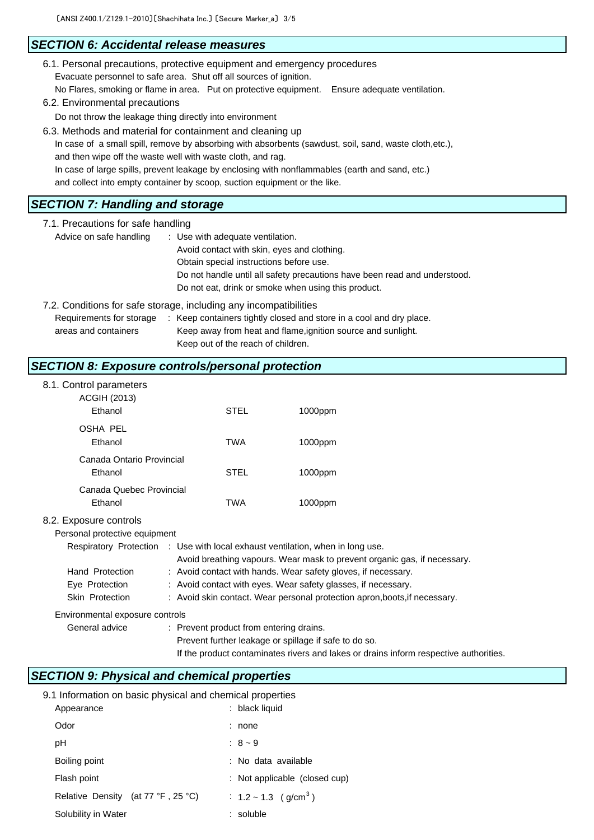## *SECTION 6: Accidental release measures*

| 6.1. Personal precautions, protective equipment and emergency procedures |  |                              |  |  |
|--------------------------------------------------------------------------|--|------------------------------|--|--|
| Evacuate personnel to safe area. Shut off all sources of ignition.       |  |                              |  |  |
| No Flares, smoking or flame in area. Put on protective equipment.        |  | Ensure adequate ventilation. |  |  |
| 6.2. Environmental precautions                                           |  |                              |  |  |

Do not throw the leakage thing directly into environment

6.3. Methods and material for containment and cleaning up In case of a small spill, remove by absorbing with absorbents (sawdust, soil, sand, waste cloth,etc.), and then wipe off the waste well with waste cloth, and rag. In case of large spills, prevent leakage by enclosing with nonflammables (earth and sand, etc.) and collect into empty container by scoop, suction equipment or the like.

#### *SECTION 7: Handling and storage*

| 7.1. Precautions for safe handling |                                                                           |  |  |
|------------------------------------|---------------------------------------------------------------------------|--|--|
| Advice on safe handling            | : Use with adequate ventilation.                                          |  |  |
|                                    | Avoid contact with skin, eyes and clothing.                               |  |  |
|                                    | Obtain special instructions before use.                                   |  |  |
|                                    | Do not handle until all safety precautions have been read and understood. |  |  |
|                                    | Do not eat, drink or smoke when using this product.                       |  |  |
|                                    | 7.2. Conditions for safe storage, including any incompatibilities         |  |  |

Requirements for storage : Keep containers tightly closed and store in a cool and dry place. areas and containers Keep away from heat and flame,ignition source and sunlight. Keep out of the reach of children.

## *SECTION 8: Exposure controls/personal protection*

| 8.1. Control parameters                                 |
|---------------------------------------------------------|
| $\sim$ $\sim$ $\sim$ $\sim$ $\sim$ $\sim$ $\sim$ $\sim$ |

| <b>ACGIH (2013)</b><br>Ethanol                          | STEL                                                                           | 1000ppm                                                                  |
|---------------------------------------------------------|--------------------------------------------------------------------------------|--------------------------------------------------------------------------|
| OSHA PEL<br>Ethanol                                     | TWA                                                                            | 1000ppm                                                                  |
| Canada Ontario Provincial<br>Ethanol                    | STEL                                                                           | 1000ppm                                                                  |
| Canada Quebec Provincial<br>Ethanol                     | <b>TWA</b>                                                                     | 1000ppm                                                                  |
| 8.2. Exposure controls<br>Personal protective equipment | Respiratory Protection : Use with local exhaust ventilation, when in long use. | Avoid breathing vapours. Wear mask to prevent organic gas, if necessary. |
| Hand Protection                                         |                                                                                | : Avoid contact with hands. Wear safety gloves, if necessary.            |

Skin Protection : Avoid skin contact. Wear personal protection apron, boots, if necessary.

Environmental exposure controls

General advice : Prevent product from entering drains.

Eye Protection : Avoid contact with eyes. Wear safety glasses, if necessary.

Prevent further leakage or spillage if safe to do so.

If the product contaminates rivers and lakes or drains inform respective authorities.

## *SECTION 9: Physical and chemical properties*

| 9.1 Information on basic physical and chemical properties |                                       |
|-----------------------------------------------------------|---------------------------------------|
| Appearance                                                | : black liquid                        |
| Odor                                                      | none                                  |
| рH                                                        | : $8 - 9$                             |
| Boiling point                                             | : No data available                   |
| Flash point                                               | : Not applicable (closed cup)         |
| Relative Density (at 77 °F, 25 °C)                        | : $1.2 \sim 1.3$ (g/cm <sup>3</sup> ) |
| Solubility in Water                                       | : soluble                             |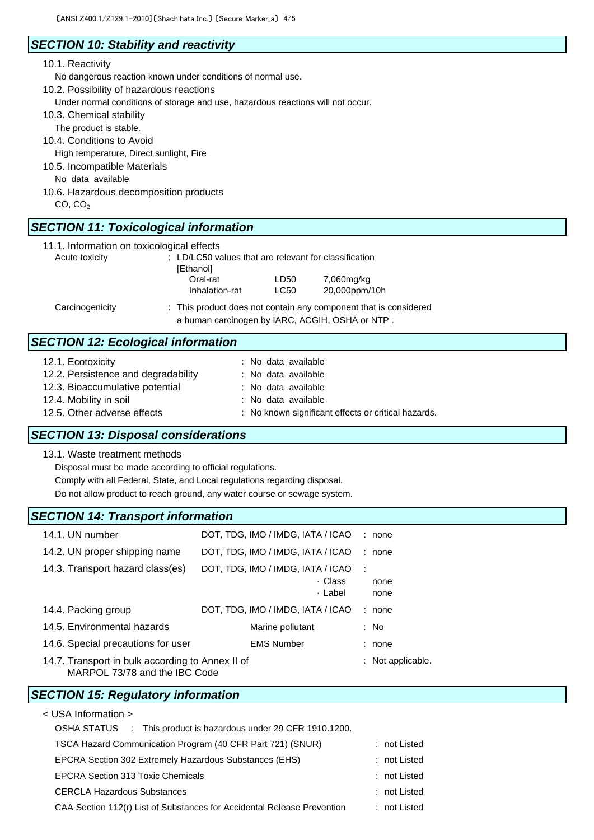# *SECTION 10: Stability and reactivity*

#### 10.1. Reactivity

No dangerous reaction known under conditions of normal use.

10.2. Possibility of hazardous reactions

Under normal conditions of storage and use, hazardous reactions will not occur.

- 10.3. Chemical stability
	- The product is stable.
- 10.4. Conditions to Avoid
- High temperature, Direct sunlight, Fire
- 10.5. Incompatible Materials
	- No data available
- 10.6. Hazardous decomposition products
	- $CO, CO<sub>2</sub>$

# *SECTION 11: Toxicological information*

|  |  | 11.1. Information on toxicological effects |  |
|--|--|--------------------------------------------|--|
|--|--|--------------------------------------------|--|

| Acute toxicity  | : LD/LC50 values that are relevant for classification<br>[Ethanol] |                                                                                                                     |                             |  |
|-----------------|--------------------------------------------------------------------|---------------------------------------------------------------------------------------------------------------------|-----------------------------|--|
|                 | Oral-rat<br>Inhalation-rat                                         | LD50<br><b>LC50</b>                                                                                                 | 7,060mg/kg<br>20,000ppm/10h |  |
| Carcinogenicity |                                                                    | : This product does not contain any component that is considered<br>a human carcinogen by IARC, ACGIH, OSHA or NTP. |                             |  |

## *SECTION 12: Ecological information*

| 12.1. Ecotoxicity                   | : No data available                                 |
|-------------------------------------|-----------------------------------------------------|
| 12.2. Persistence and degradability | : No data available                                 |
| 12.3. Bioaccumulative potential     | : No data available                                 |
| 12.4. Mobility in soil              | : No data available                                 |
| 12.5. Other adverse effects         | : No known significant effects or critical hazards. |
|                                     |                                                     |

## *SECTION 13: Disposal considerations*

13.1. Waste treatment methods

Disposal must be made according to official regulations.

Comply with all Federal, State, and Local regulations regarding disposal.

Do not allow product to reach ground, any water course or sewage system.

#### *SECTION 14: Transport information*

| 14.1. UN number                                                                   | DOT, TDG, IMO / IMDG, IATA / ICAO                       | : none                               |  |
|-----------------------------------------------------------------------------------|---------------------------------------------------------|--------------------------------------|--|
| 14.2. UN proper shipping name                                                     | DOT, TDG, IMO / IMDG, IATA / ICAO                       | none<br>÷.                           |  |
| 14.3. Transport hazard class(es)                                                  | DOT, TDG, IMO / IMDG, IATA / ICAO<br>· Class<br>· Label | $\ddot{\phantom{a}}$<br>none<br>none |  |
| 14.4. Packing group                                                               | DOT, TDG, IMO / IMDG, IATA / ICAO                       | none<br>÷                            |  |
| 14.5. Environmental hazards                                                       | Marine pollutant                                        | : No                                 |  |
| 14.6. Special precautions for user                                                | <b>EMS Number</b>                                       | : none                               |  |
| 14.7. Transport in bulk according to Annex II of<br>MARPOL 73/78 and the IBC Code |                                                         | $:$ Not applicable.                  |  |

## *SECTION 15: Regulatory information*

| < USA Information >                                                     |              |  |
|-------------------------------------------------------------------------|--------------|--|
| OSHA STATUS : This product is hazardous under 29 CFR 1910.1200.         |              |  |
| TSCA Hazard Communication Program (40 CFR Part 721) (SNUR)              | : not Listed |  |
| EPCRA Section 302 Extremely Hazardous Substances (EHS)                  | : not Listed |  |
| <b>EPCRA Section 313 Toxic Chemicals</b>                                | : not Listed |  |
| <b>CERCLA Hazardous Substances</b>                                      | : not Listed |  |
| CAA Section 112(r) List of Substances for Accidental Release Prevention | : not Listed |  |